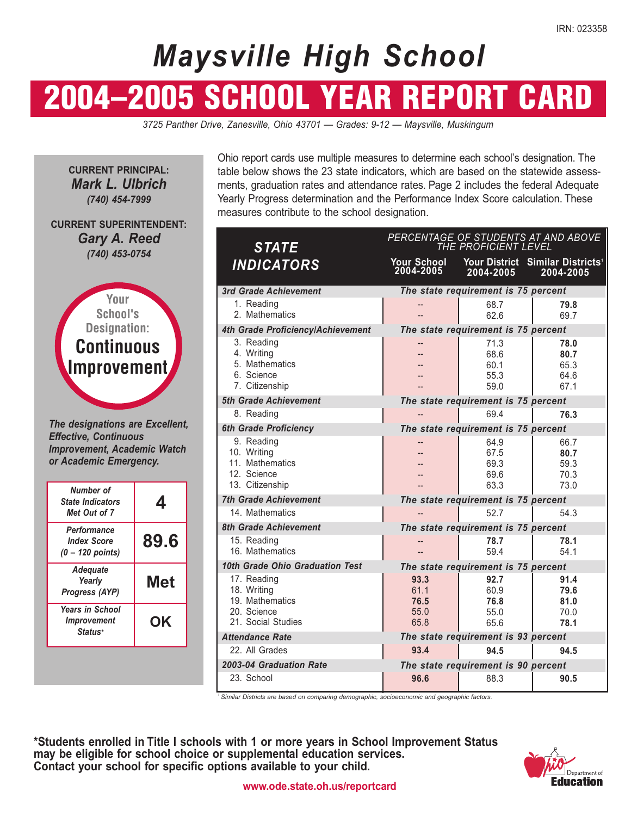# *Maysville High School*

# 2004–2005 SCHOOL YEAR REPORT CARD

*3725 Panther Drive, Zanesville, Ohio 43701 — Grades: 9-12 — Maysville, Muskingum* 

**CURRENT PRINCIPAL:**  *Mark L. Ulbrich (740) 454-7999* 

**CURRENT SUPERINTENDENT:**  *Gary A. Reed (740) 453-0754* 



*The designations are Excellent, Effective, Continuous Improvement, Academic Watch or Academic Emergency.* 

| Number of<br><b>State Indicators</b><br>Met Out of 7           | 4    |
|----------------------------------------------------------------|------|
| Performance<br><b>Index Score</b><br>$(0 - 120$ points)        | 89.6 |
| <b>Adequate</b><br>Yearly<br>Progress (AYP)                    | Met  |
| <b>Years in School</b><br><i><b>Improvement</b></i><br>Status* | OK   |

Ohio report cards use multiple measures to determine each school's designation. The table below shows the 23 state indicators, which are based on the statewide assessments, graduation rates and attendance rates. Page 2 includes the federal Adequate Yearly Progress determination and the Performance Index Score calculation. These measures contribute to the school designation.

| <b>STATE</b>                                                                       | PERCENTAGE OF STUDENTS AT AND ABOVE<br>THE PROFICIENT LEVEL |                                      |                                                           |  |  |  |  |
|------------------------------------------------------------------------------------|-------------------------------------------------------------|--------------------------------------|-----------------------------------------------------------|--|--|--|--|
| <b>INDICATORS</b>                                                                  | <b>Your School</b><br>2004-2005                             | 2004-2005                            | Your District Similar Districts <sup>1</sup><br>2004-2005 |  |  |  |  |
| 3rd Grade Achievement                                                              |                                                             | The state requirement is 75 percent  |                                                           |  |  |  |  |
| 1. Reading<br>2. Mathematics                                                       |                                                             | 68.7<br>62.6                         | 79.8<br>69.7                                              |  |  |  |  |
| 4th Grade Proficiency/Achievement                                                  |                                                             | The state requirement is 75 percent  |                                                           |  |  |  |  |
| 3. Reading<br>4. Writing<br>5. Mathematics<br>6. Science<br>7. Citizenship         | $-$                                                         | 71.3<br>68.6<br>60.1<br>55.3<br>59.0 | 78.0<br>80.7<br>65.3<br>64.6<br>67.1                      |  |  |  |  |
| 5th Grade Achievement                                                              |                                                             | The state requirement is 75 percent  |                                                           |  |  |  |  |
| 8. Reading                                                                         |                                                             | 69.4                                 | 76.3                                                      |  |  |  |  |
| <b>6th Grade Proficiency</b>                                                       |                                                             | The state requirement is 75 percent  |                                                           |  |  |  |  |
| 9. Reading<br>10. Writing<br>11. Mathematics<br>12. Science<br>13. Citizenship     |                                                             | 64.9<br>67.5<br>69.3<br>69.6<br>63.3 | 66.7<br>80.7<br>59.3<br>70.3<br>73.0                      |  |  |  |  |
| <b>7th Grade Achievement</b>                                                       |                                                             | The state requirement is 75 percent  |                                                           |  |  |  |  |
| 14. Mathematics                                                                    |                                                             | 52.7                                 | 54.3                                                      |  |  |  |  |
| <b>8th Grade Achievement</b>                                                       |                                                             | The state requirement is 75 percent  |                                                           |  |  |  |  |
| 15. Reading<br>16. Mathematics                                                     |                                                             | 78.7<br>59.4                         | 78.1<br>54.1                                              |  |  |  |  |
| 10th Grade Ohio Graduation Test                                                    |                                                             | The state requirement is 75 percent  |                                                           |  |  |  |  |
| 17. Reading<br>18. Writing<br>19. Mathematics<br>20. Science<br>21. Social Studies | 93.3<br>61.1<br>76.5<br>55.0<br>65.8                        | 92.7<br>60.9<br>76.8<br>55.0<br>65.6 | 91.4<br>79.6<br>81.0<br>70.0<br>78.1                      |  |  |  |  |
| <b>Attendance Rate</b>                                                             |                                                             | The state requirement is 93 percent  |                                                           |  |  |  |  |
| 22. All Grades                                                                     | 93.4                                                        | 94.5                                 | 94.5                                                      |  |  |  |  |
| 2003-04 Graduation Rate                                                            |                                                             | The state requirement is 90 percent  |                                                           |  |  |  |  |
| 23. School                                                                         | 96.6                                                        | 88.3                                 | 90.5                                                      |  |  |  |  |

*Similar Districts are based on comparing demographic, socioeconomic and geographic factors.* 

**\*Students enrolled in Title I schools with 1 or more years in School Improvement Status may be eligible for school choice or supplemental education services.**  Contact your school for specific options available to your child.

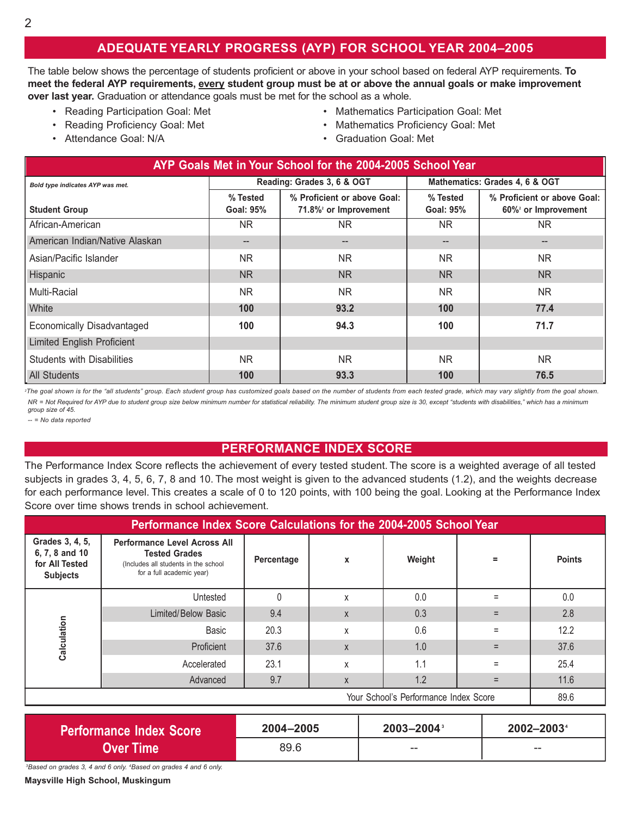### **ADEQUATE YEARLY PROGRESS (AYP) FOR SCHOOL YEAR 2004–2005**

The table below shows the percentage of students proficient or above in your school based on federal AYP requirements. To **meet the federal AYP requirements, every student group must be at or above the annual goals or make improvement over last year.** Graduation or attendance goals must be met for the school as a whole.

- 
- 
- Attendance Goal: N/A Graduation Goal: Met
- Reading Participation Goal: Met Mathematics Participation Goal: Met
- Reading Proficiency Goal: Met Mathematics Proficiency Goal: Met
	-

| AYP Goals Met in Your School for the 2004-2005 School Year |                                       |                                                                  |                                |                                                   |  |  |  |  |
|------------------------------------------------------------|---------------------------------------|------------------------------------------------------------------|--------------------------------|---------------------------------------------------|--|--|--|--|
| Bold type indicates AYP was met.                           |                                       | Reading: Grades 3, 6 & OGT                                       | Mathematics: Grades 4, 6 & OGT |                                                   |  |  |  |  |
| <b>Student Group</b>                                       | % Tested<br><b>Goal: 95%</b>          | % Proficient or above Goal:<br>71.8% <sup>2</sup> or Improvement | % Tested<br><b>Goal: 95%</b>   | % Proficient or above Goal:<br>60% or Improvement |  |  |  |  |
| African-American                                           | NR.                                   | NR.                                                              | NR.                            | <b>NR</b>                                         |  |  |  |  |
| American Indian/Native Alaskan                             | $\hspace{0.05cm}$ – $\hspace{0.05cm}$ | $\hspace{0.05cm}$ – $\hspace{0.05cm}$                            | --                             | --                                                |  |  |  |  |
| Asian/Pacific Islander                                     | NR.                                   | NR.                                                              | NR.                            | NR.                                               |  |  |  |  |
| <b>Hispanic</b>                                            | NR.                                   | N <sub>R</sub>                                                   | NR.                            | N <sub>R</sub>                                    |  |  |  |  |
| Multi-Racial                                               | NR.                                   | NR.                                                              | NR.                            | <b>NR</b>                                         |  |  |  |  |
| <b>White</b>                                               | 100                                   | 93.2                                                             | 100 <sub>1</sub>               | 77.4                                              |  |  |  |  |
| Economically Disadvantaged                                 | 100                                   | 94.3                                                             | 100                            | 71.7                                              |  |  |  |  |
| <b>Limited English Proficient</b>                          |                                       |                                                                  |                                |                                                   |  |  |  |  |
| <b>Students with Disabilities</b>                          | <b>NR</b>                             | NR.                                                              | NR.                            | <b>NR</b>                                         |  |  |  |  |
| All Students                                               | 100                                   | 93.3                                                             | 100                            | 76.5                                              |  |  |  |  |

<sup>2</sup>The goal shown is for the "all students" group. Each student group has customized goals based on the number of students from each tested grade, which may vary slightly from the goal shown. *NR = Not Required for AYP due to student group size below minimum number for statistical reliability. The minimum student group size is 30, except "students with disabilities," which has a minimum group size of 45.* 

*-- = No data reported* 

#### **PERFORMANCE INDEX SCORE**

The Performance Index Score reflects the achievement of every tested student. The score is a weighted average of all tested subjects in grades 3, 4, 5, 6, 7, 8 and 10. The most weight is given to the advanced students (1.2), and the weights decrease for each performance level. This creates a scale of 0 to 120 points, with 100 being the goal. Looking at the Performance Index Score over time shows trends in school achievement.

| Performance Index Score Calculations for the 2004-2005 School Year     |                                                                                                                                  |            |   |        |          |               |  |  |
|------------------------------------------------------------------------|----------------------------------------------------------------------------------------------------------------------------------|------------|---|--------|----------|---------------|--|--|
| Grades 3, 4, 5,<br>6, 7, 8 and 10<br>for All Tested<br><b>Subjects</b> | <b>Performance Level Across All</b><br><b>Tested Grades</b><br>(Includes all students in the school<br>for a full academic year) | Percentage | X | Weight | $=$      | <b>Points</b> |  |  |
|                                                                        | Untested                                                                                                                         | $\Omega$   | X | 0.0    |          | 0.0           |  |  |
|                                                                        | Limited/Below Basic                                                                                                              | 9.4        | X | 0.3    |          | 2.8           |  |  |
| Calculation                                                            | Basic                                                                                                                            | 20.3       | X | 0.6    | $=$      | 12.2          |  |  |
|                                                                        | Proficient                                                                                                                       | 37.6       | X | 1.0    |          | 37.6          |  |  |
|                                                                        | Accelerated                                                                                                                      | 23.1       | X | 1.1    | $\equiv$ | 25.4          |  |  |
|                                                                        | Advanced                                                                                                                         | 9.7        | X | 1.2    | $=$      | 11.6          |  |  |
| Your School's Performance Index Score                                  |                                                                                                                                  |            |   |        |          |               |  |  |

| <b>Performance Index Score</b> | 2004-2005 | $2003 - 2004$ <sup>3</sup> | 2002-2003 |
|--------------------------------|-----------|----------------------------|-----------|
| Over Time l                    | 89.6      | $- -$                      | $- -$     |

*3 Based on grades 3, 4 and 6 only. 4 Based on grades 4 and 6 only.* 

**Maysville High School, Muskingum**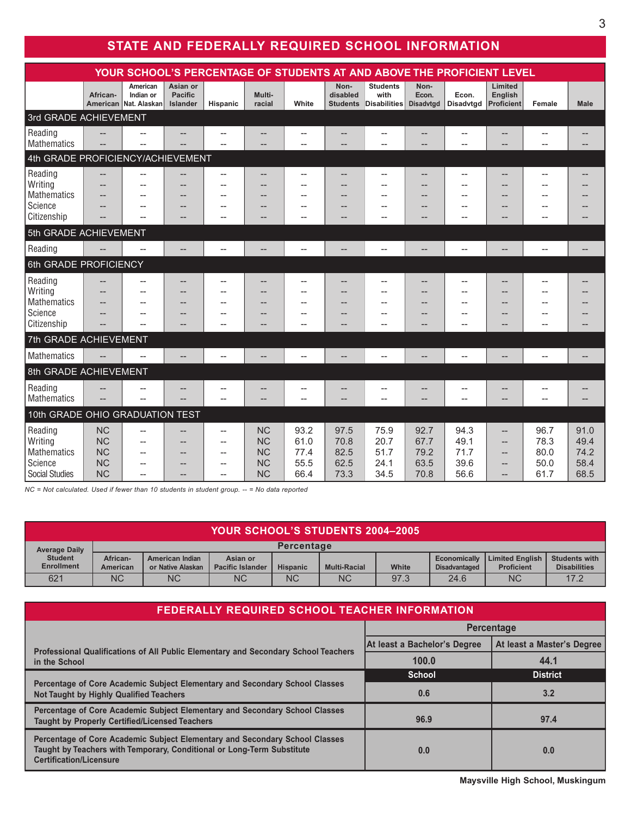## **STATE AND FEDERALLY REQUIRED SCHOOL INFORMATION**

| YOUR SCHOOL'S PERCENTAGE OF STUDENTS AT AND ABOVE THE PROFICIENT LEVEL |                                                               |                                                             |                                        |                                                                                               |                                                               |                                      |                                      |                                                                  |                                      |                                      |                                                                    |                                      |                                      |
|------------------------------------------------------------------------|---------------------------------------------------------------|-------------------------------------------------------------|----------------------------------------|-----------------------------------------------------------------------------------------------|---------------------------------------------------------------|--------------------------------------|--------------------------------------|------------------------------------------------------------------|--------------------------------------|--------------------------------------|--------------------------------------------------------------------|--------------------------------------|--------------------------------------|
|                                                                        | African-                                                      | American<br>Indian or<br>American Nat. Alaskan              | Asian or<br><b>Pacific</b><br>Islander | Hispanic                                                                                      | Multi-<br>racial                                              | White                                | Non-<br>disabled<br><b>Students</b>  | <b>Students</b><br>with<br>Disabilities                          | Non-<br>Econ.<br><b>Disadvtgd</b>    | Econ.<br><b>Disadvtgd</b>            | Limited<br>English<br><b>Proficient</b>                            | Female                               | <b>Male</b>                          |
| 3rd GRADE ACHIEVEMENT                                                  |                                                               |                                                             |                                        |                                                                                               |                                                               |                                      |                                      |                                                                  |                                      |                                      |                                                                    |                                      |                                      |
| Reading<br>Mathematics                                                 | --                                                            |                                                             | --                                     | --<br>$\overline{\phantom{a}}$                                                                |                                                               | --                                   | --                                   | --                                                               |                                      | --<br>$-$                            |                                                                    | $\overline{\phantom{a}}$             |                                      |
| 4th GRADE PROFICIENCY/ACHIEVEMENT                                      |                                                               |                                                             |                                        |                                                                                               |                                                               |                                      |                                      |                                                                  |                                      |                                      |                                                                    |                                      |                                      |
| Reading<br><b>Writing</b><br>Mathematics<br>Science<br>Citizenship     | --<br>--<br>$\overline{\phantom{a}}$                          | $\overline{\phantom{a}}$<br>$\overline{a}$<br>$-$           | --<br>$-$<br>$-$<br>--                 | $\overline{\phantom{a}}$<br>--<br>$-$<br>$-$<br>--                                            |                                                               | $-$<br>$-$                           | --<br>--<br>--<br>--<br>--           | --<br>$\overline{\phantom{a}}$<br>--<br>$\overline{\phantom{a}}$ | --<br>--<br>--<br>--<br>--           | $-$<br>$-$<br>$-$<br>$-$             | $-$<br>$-$                                                         |                                      |                                      |
| 5th GRADE ACHIEVEMENT                                                  |                                                               |                                                             |                                        |                                                                                               |                                                               |                                      |                                      |                                                                  |                                      |                                      |                                                                    |                                      |                                      |
| Reading                                                                | --                                                            | $\overline{a}$                                              | --                                     | $\overline{\phantom{0}}$                                                                      | --                                                            | --                                   | --                                   | $-$                                                              | --                                   | $-$                                  | $- -$                                                              | $\overline{\phantom{a}}$             | $\overline{a}$                       |
| 6th GRADE PROFICIENCY                                                  |                                                               |                                                             |                                        |                                                                                               |                                                               |                                      |                                      |                                                                  |                                      |                                      |                                                                    |                                      |                                      |
| Reading<br><b>Writing</b><br>Mathematics<br>Science<br>Citizenship     |                                                               | $-$                                                         | --<br>--                               | $\overline{\phantom{a}}$<br>$-$<br>$-$                                                        |                                                               | $-$                                  |                                      |                                                                  | --<br>--<br>--                       | $-$                                  |                                                                    |                                      |                                      |
| 7th GRADE ACHIEVEMENT                                                  |                                                               |                                                             |                                        |                                                                                               |                                                               |                                      |                                      |                                                                  |                                      |                                      |                                                                    |                                      |                                      |
| <b>Mathematics</b>                                                     | --                                                            | $\overline{\phantom{a}}$                                    | --                                     | $\overline{a}$                                                                                | --                                                            | $\overline{a}$                       | --                                   | $\overline{\phantom{a}}$                                         | --                                   | $\overline{a}$                       | --                                                                 | $\overline{a}$                       |                                      |
| 8th GRADE ACHIEVEMENT                                                  |                                                               |                                                             |                                        |                                                                                               |                                                               |                                      |                                      |                                                                  |                                      |                                      |                                                                    |                                      |                                      |
| Reading<br>Mathematics                                                 | --                                                            | $\overline{\phantom{a}}$<br>--                              | --                                     | $\overline{\phantom{a}}$<br>$-$                                                               | --<br>--                                                      | --                                   | --<br>--                             | $-$<br>$-$                                                       | --                                   | --<br>--                             |                                                                    | --<br>$\overline{\phantom{a}}$       |                                      |
|                                                                        | 10th GRADE OHIO GRADUATION TEST                               |                                                             |                                        |                                                                                               |                                                               |                                      |                                      |                                                                  |                                      |                                      |                                                                    |                                      |                                      |
| Reading<br><b>Writing</b><br>Mathematics<br>Science<br>Social Studies  | <b>NC</b><br><b>NC</b><br><b>NC</b><br><b>NC</b><br><b>NC</b> | $\overline{\phantom{a}}$<br>$-$<br>$\overline{\phantom{a}}$ | --<br>--                               | $\overline{\phantom{a}}$<br>--<br>$-$<br>$\overline{\phantom{a}}$<br>$\overline{\phantom{a}}$ | <b>NC</b><br><b>NC</b><br><b>NC</b><br><b>NC</b><br><b>NC</b> | 93.2<br>61.0<br>77.4<br>55.5<br>66.4 | 97.5<br>70.8<br>82.5<br>62.5<br>73.3 | 75.9<br>20.7<br>51.7<br>24.1<br>34.5                             | 92.7<br>67.7<br>79.2<br>63.5<br>70.8 | 94.3<br>49.1<br>71.7<br>39.6<br>56.6 | --<br>$\hspace{0.05cm}$ – $\hspace{0.05cm}$<br>$--$<br>$--$<br>$-$ | 96.7<br>78.3<br>80.0<br>50.0<br>61.7 | 91.0<br>49.4<br>74.2<br>58.4<br>68.5 |

*NC = Not calculated. Used if fewer than 10 students in student group. -- = No data reported* 

| <b>YOUR SCHOOL'S STUDENTS 2004-2005</b> |                      |                                             |                                     |                 |                     |       |                                      |                                             |                                             |
|-----------------------------------------|----------------------|---------------------------------------------|-------------------------------------|-----------------|---------------------|-------|--------------------------------------|---------------------------------------------|---------------------------------------------|
| <b>Average Daily</b>                    | <b>Percentage</b>    |                                             |                                     |                 |                     |       |                                      |                                             |                                             |
| <b>Student</b><br><b>Enrollment</b>     | African-<br>American | <b>American Indian</b><br>or Native Alaskan | Asian or<br><b>Pacific Islander</b> | <b>Hispanic</b> | <b>Multi-Racial</b> | White | Economically<br><b>Disadvantaged</b> | <b>Limited English</b><br><b>Proficient</b> | <b>Students with</b><br><b>Disabilities</b> |
| 621                                     | <b>NC</b>            | <b>NC</b>                                   | <b>NC</b>                           | <b>NC</b>       | <b>NC</b>           | 97.3  | 24.6                                 | <b>NC</b>                                   | 17.2                                        |

| FEDERALLY REQUIRED SCHOOL TEACHER INFORMATION                                                                                                                                           |                              |                            |  |  |  |  |  |
|-----------------------------------------------------------------------------------------------------------------------------------------------------------------------------------------|------------------------------|----------------------------|--|--|--|--|--|
|                                                                                                                                                                                         | <b>Percentage</b>            |                            |  |  |  |  |  |
| Professional Qualifications of All Public Elementary and Secondary School Teachers                                                                                                      | At least a Bachelor's Degree | At least a Master's Degree |  |  |  |  |  |
| in the School                                                                                                                                                                           | 100.0                        | 44.1                       |  |  |  |  |  |
|                                                                                                                                                                                         | <b>School</b>                | <b>District</b>            |  |  |  |  |  |
| Percentage of Core Academic Subject Elementary and Secondary School Classes<br><b>Not Taught by Highly Qualified Teachers</b>                                                           | 0.6                          | 3.2                        |  |  |  |  |  |
| Percentage of Core Academic Subject Elementary and Secondary School Classes<br><b>Taught by Properly Certified/Licensed Teachers</b>                                                    | 96.9                         | 97.4                       |  |  |  |  |  |
| Percentage of Core Academic Subject Elementary and Secondary School Classes<br>Taught by Teachers with Temporary, Conditional or Long-Term Substitute<br><b>Certification/Licensure</b> | 0.0                          | 0.0                        |  |  |  |  |  |

**Maysville High School, Muskingum**